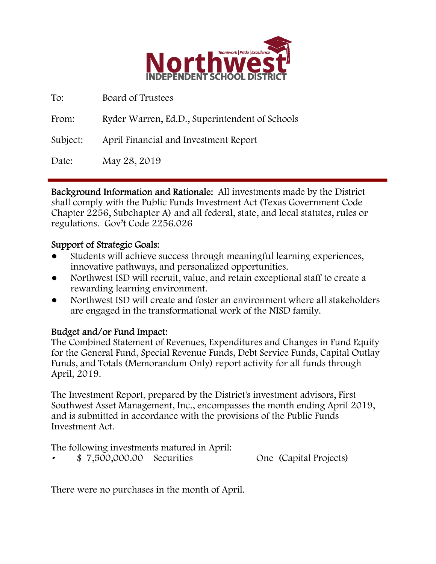

| To:      | Board of Trustees                              |
|----------|------------------------------------------------|
| From:    | Ryder Warren, Ed.D., Superintendent of Schools |
| Subject: | April Financial and Investment Report          |
| Date:    | May 28, 2019                                   |

Background Information and Rationale: All investments made by the District shall comply with the Public Funds Investment Act (Texas Government Code Chapter 2256, Subchapter A) and all federal, state, and local statutes, rules or regulations. Gov't Code 2256.026

## Support of Strategic Goals:

- Students will achieve success through meaningful learning experiences, innovative pathways, and personalized opportunities.
- Northwest ISD will recruit, value, and retain exceptional staff to create a rewarding learning environment.
- Northwest ISD will create and foster an environment where all stakeholders are engaged in the transformational work of the NISD family.

## Budget and/or Fund Impact:

The Combined Statement of Revenues, Expenditures and Changes in Fund Equity for the General Fund, Special Revenue Funds, Debt Service Funds, Capital Outlay Funds, and Totals (Memorandum Only) report activity for all funds through April, 2019.

The Investment Report, prepared by the District's investment advisors, First Southwest Asset Management, Inc., encompasses the month ending April 2019, and is submitted in accordance with the provisions of the Public Funds Investment Act.

The following investments matured in April: • \$ 7,500,000.00 Securities One (Capital Projects)

There were no purchases in the month of April.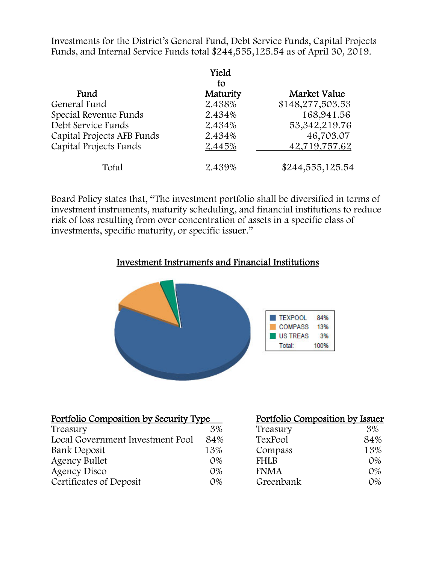Investments for the District's General Fund, Debt Service Funds, Capital Projects Funds, and Internal Service Funds total \$244,555,125.54 as of April 30, 2019.

|                            | Yield<br>tο |                  |
|----------------------------|-------------|------------------|
| Fund                       | Maturity    | Market Value     |
| General Fund               | 2.438%      | \$148,277,503.53 |
| Special Revenue Funds      | 2.434%      | 168,941.56       |
| Debt Service Funds         | 2.434%      | 53, 342, 219. 76 |
| Capital Projects AFB Funds | 2.434%      | 46,703.07        |
| Capital Projects Funds     | 2.445%      | 42,719,757.62    |
| Total                      | 2.439%      | \$244,555,125.54 |

Board Policy states that, "The investment portfolio shall be diversified in terms of investment instruments, maturity scheduling, and financial institutions to reduce risk of loss resulting from over concentration of assets in a specific class of investments, specific maturity, or specific issuer."

### Investment Instruments and Financial Institutions



| Portfolio Composition by Security Type |       | Portfolio Composition by Issuer |       |
|----------------------------------------|-------|---------------------------------|-------|
| Treasury                               | 3%    | Treasury                        | 3%    |
| Local Government Investment Pool       | 84%   | TexPool                         | 84%   |
| Bank Deposit                           | 13%   | Compass                         | 13%   |
| <b>Agency Bullet</b>                   | $O\%$ | <b>FHLB</b>                     | $O\%$ |
| <b>Agency Disco</b>                    | $O\%$ | <b>FNMA</b>                     | $O\%$ |
| Certificates of Deposit                | $O\%$ | Greenbank                       | $O\%$ |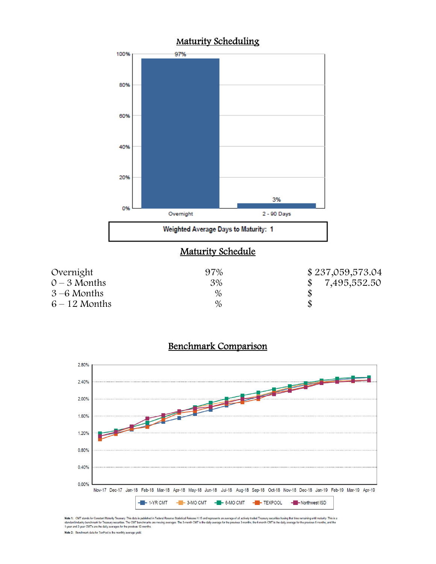

#### Benchmark Comparison



Note 1: CMT stands for Constant Maturity Treasury. This data is published in Federal Reserve Statistical Release H.15 and represents an average of all actively traded Treasury securities having that time remaining until ma Note 2: Benchmark data for TexPool is the monthly average yield.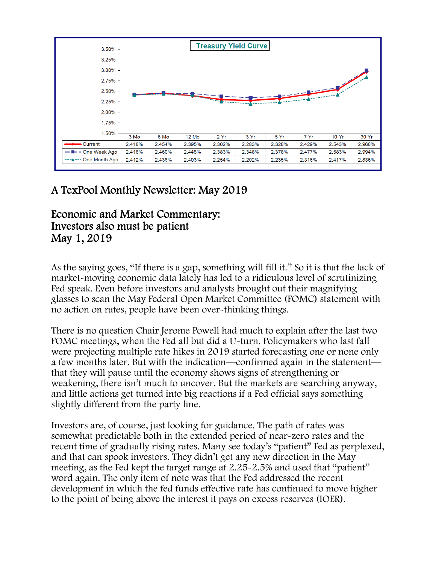

# A TexPool Monthly Newsletter: May 2019

# Economic and Market Commentary: Investors also must be patient May 1, 2019

As the saying goes, "If there is a gap, something will fill it." So it is that the lack of market-moving economic data lately has led to a ridiculous level of scrutinizing Fed speak. Even before investors and analysts brought out their magnifying glasses to scan the May Federal Open Market Committee (FOMC) statement with no action on rates, people have been over-thinking things.

There is no question Chair Jerome Powell had much to explain after the last two FOMC meetings, when the Fed all but did a U-turn. Policymakers who last fall were projecting multiple rate hikes in 2019 started forecasting one or none only a few months later. But with the indication—confirmed again in the statement that they will pause until the economy shows signs of strengthening or weakening, there isn't much to uncover. But the markets are searching anyway, and little actions get turned into big reactions if a Fed official says something slightly different from the party line.

Investors are, of course, just looking for guidance. The path of rates was somewhat predictable both in the extended period of near-zero rates and the recent time of gradually rising rates. Many see today's "patient" Fed as perplexed, and that can spook investors. They didn't get any new direction in the May meeting, as the Fed kept the target range at 2.25-2.5% and used that "patient" word again. The only item of note was that the Fed addressed the recent development in which the fed funds effective rate has continued to move higher to the point of being above the interest it pays on excess reserves (IOER).